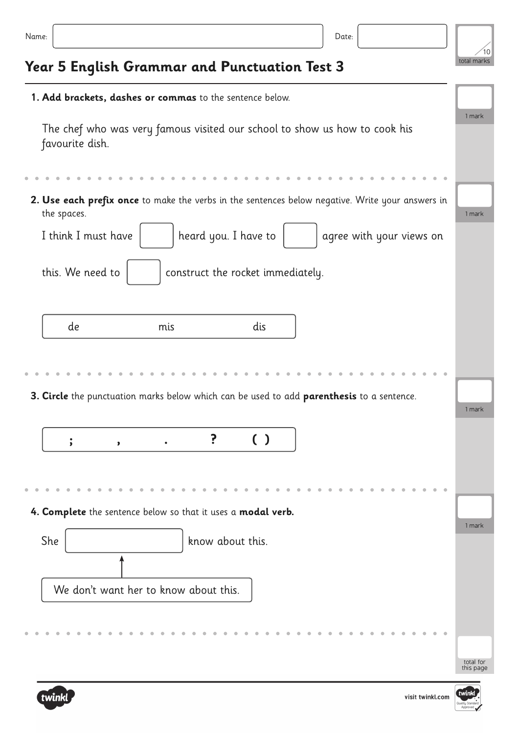| v<br>×<br>×<br>٠<br>۰.<br>I |  |  |  |  |  |
|-----------------------------|--|--|--|--|--|
|-----------------------------|--|--|--|--|--|



## **Year 5 English Grammar and Punctuation Test 3**

| 1. Add brackets, dashes or commas to the sentence below.                                                        |                        |  |  |  |  |  |
|-----------------------------------------------------------------------------------------------------------------|------------------------|--|--|--|--|--|
| The chef who was very famous visited our school to show us how to cook his<br>favourite dish.                   |                        |  |  |  |  |  |
|                                                                                                                 |                        |  |  |  |  |  |
| 2. Use each prefix once to make the verbs in the sentences below negative. Write your answers in<br>the spaces. | 1 mark                 |  |  |  |  |  |
| I think I must have<br>heard you. I have to<br>agree with your views on                                         |                        |  |  |  |  |  |
| this. We need to<br>construct the rocket immediately.                                                           |                        |  |  |  |  |  |
| dis<br>de<br>mis                                                                                                |                        |  |  |  |  |  |
|                                                                                                                 |                        |  |  |  |  |  |
|                                                                                                                 |                        |  |  |  |  |  |
|                                                                                                                 |                        |  |  |  |  |  |
| 3. Circle the punctuation marks below which can be used to add parenthesis to a sentence.                       | 1 mark                 |  |  |  |  |  |
| ?<br>$\left( \begin{array}{c} \end{array} \right)$<br>$\dot{\rm{}}$<br>,                                        |                        |  |  |  |  |  |
|                                                                                                                 |                        |  |  |  |  |  |
|                                                                                                                 |                        |  |  |  |  |  |
| 4. Complete the sentence below so that it uses a modal verb.                                                    | 1 mark                 |  |  |  |  |  |
| She<br>know about this.                                                                                         |                        |  |  |  |  |  |
|                                                                                                                 |                        |  |  |  |  |  |
| We don't want her to know about this.                                                                           |                        |  |  |  |  |  |
|                                                                                                                 |                        |  |  |  |  |  |
|                                                                                                                 | total for<br>this page |  |  |  |  |  |
|                                                                                                                 |                        |  |  |  |  |  |

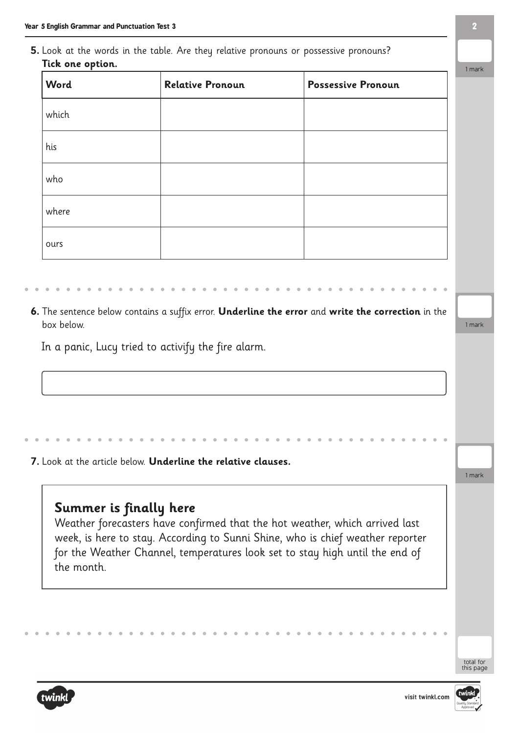**5.** Look at the words in the table. Are they relative pronouns or possessive pronouns? **Tick one option.**

| Word  | <b>Relative Pronoun</b> | <b>Possessive Pronoun</b> |
|-------|-------------------------|---------------------------|
| which |                         |                           |
| his   |                         |                           |
| who   |                         |                           |
| where |                         |                           |
| ours  |                         |                           |

**6.** The sentence below contains a suffix error. **Underline the error** and **write the correction** in the box below.

In a panic, Lucy tried to activify the fire alarm.

**7.** Look at the article below. **Underline the relative clauses.**

## **Summer is finally here**

Weather forecasters have confirmed that the hot weather, which arrived last week, is here to stay. According to Sunni Shine, who is chief weather reporter for the Weather Channel, temperatures look set to stay high until the end of the month.



total for this page

1 mark

1 mark

1 mark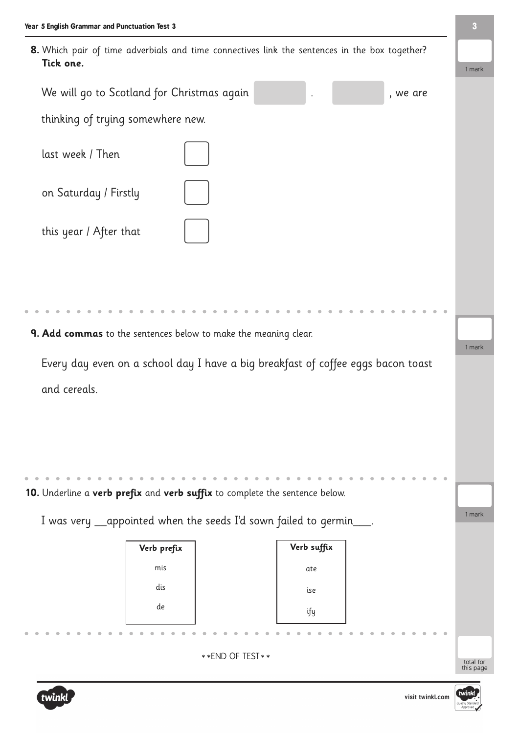| Year 5 English Grammar and Punctuation Test 3                   |                                                                                               | $\mathbf{3}$           |
|-----------------------------------------------------------------|-----------------------------------------------------------------------------------------------|------------------------|
| Tick one.                                                       | 8. Which pair of time adverbials and time connectives link the sentences in the box together? | 1 mark                 |
| We will go to Scotland for Christmas again                      | , we are                                                                                      |                        |
| thinking of trying somewhere new.                               |                                                                                               |                        |
| last week / Then                                                |                                                                                               |                        |
| on Saturday / Firstly                                           |                                                                                               |                        |
| this year / After that                                          |                                                                                               |                        |
|                                                                 |                                                                                               |                        |
| 9. Add commas to the sentences below to make the meaning clear. |                                                                                               |                        |
|                                                                 | Every day even on a school day I have a big breakfast of coffee eggs bacon toast              | 1 mark                 |
| and cereals.                                                    |                                                                                               |                        |
|                                                                 |                                                                                               |                        |
|                                                                 |                                                                                               |                        |
|                                                                 |                                                                                               |                        |
|                                                                 | 10. Underline a verb prefix and verb suffix to complete the sentence below.                   |                        |
|                                                                 |                                                                                               | 1 mark                 |
|                                                                 | I was very _appointed when the seeds I'd sown failed to germin___.                            |                        |
| Verb prefix                                                     | Verb suffix                                                                                   |                        |
| mis                                                             | ate                                                                                           |                        |
| dis                                                             | ise                                                                                           |                        |
| de                                                              | ify                                                                                           |                        |
|                                                                 |                                                                                               |                        |
|                                                                 | ** END OF TEST **                                                                             | total for<br>this page |
|                                                                 |                                                                                               |                        |